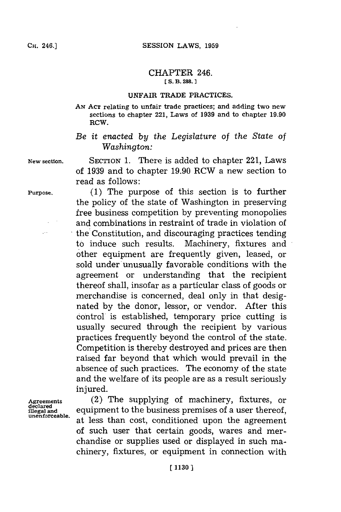## CH. **46.]SESSION** LAWS, **1959**

## CHAPTER 246. **[S.** B. **288.**

## UNFAIR TRADE PRACTICES.

**AN ACT** relating to unfair trade practices; and adding two new sections to chapter 221, Laws of **1939** and to chapter **19.90** RCW.

## *Be it enacted by the Legislature of the State of Washington:*

New section. **SECTION 1.** There is added to chapter 221, Laws of **1939** and to chapter **19.90** RCW a new section to read as follows:

**Purpose. (1)** The purpose of this section is to further the policy of the state of Washington in preserving free business competition **by** preventing monopolies and combinations in restraint of trade in violation of the Constitution, and discouraging practices tending to induce such results. Machinery, fixtures and other equipment are frequently given, leased, or sold under unusually favorable conditions with the agreement or understanding that the recipient thereof shall, insofar as a particular class of goods or merchandise is concerned, deal only in that designated **by** the donor, lessor, or vendor. After this control is established, temporary price cutting is usually secured through the recipient **by** various practices frequently beyond the control of the state. Competition is thereby destroyed and prices are then raised far beyond that which would prevail in the absence of such practices. The economy of the state and the welfare of its people are as a result seriously injured.

declared<br>illegal and<br>unenforceable.

**Agreements** (2) The supplying of machinery, fixtures, or equipment to the business premises of a user thereof, at less than cost, conditioned upon the agreement of such user that certain goods, wares and merchandise or supplies used or displayed in such machinery, fixtures, or equipment in connection with